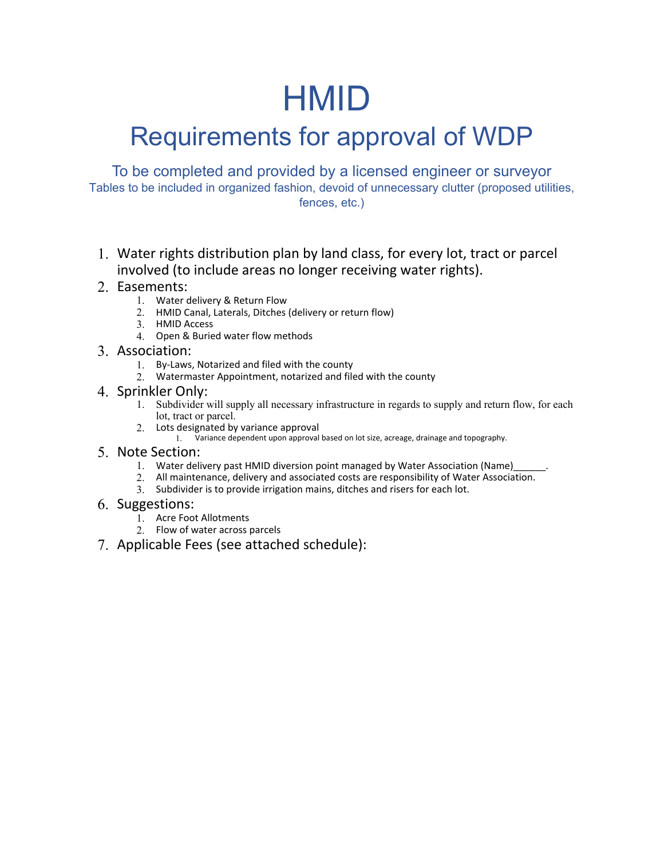# HMID

## Requirements for approval of WDP

To be completed and provided by a licensed engineer or surveyor Tables to be included in organized fashion, devoid of unnecessary clutter (proposed utilities, fences, etc.)

1. Water rights distribution plan by land class, for every lot, tract or parcel involved (to include areas no longer receiving water rights).

### 2. Easements:

- 1. Water delivery & Return Flow
- 2. HMID Canal, Laterals, Ditches (delivery or return flow)
- 3. HMID Access
	- 4. Open & Buried water flow methods

#### 3. Association:

- 1. By-Laws, Notarized and filed with the county
- 2. Watermaster Appointment, notarized and filed with the county

#### 4. Sprinkler Only:

- 1. Subdivider will supply all necessary infrastructure in regards to supply and return flow, for each lot, tract or parcel.
- 2. Lots designated by variance approval
	- 1. Variance dependent upon approval based on lot size, acreage, drainage and topography.

#### 5. Note Section:

- 1. Water delivery past HMID diversion point managed by Water Association (Name)
- 2. All maintenance, delivery and associated costs are responsibility of Water Association.
- 3. Subdivider is to provide irrigation mains, ditches and risers for each lot.

#### 6. Suggestions:

- 1. Acre Foot Allotments
- 2. Flow of water across parcels
- 7. Applicable Fees (see attached schedule):